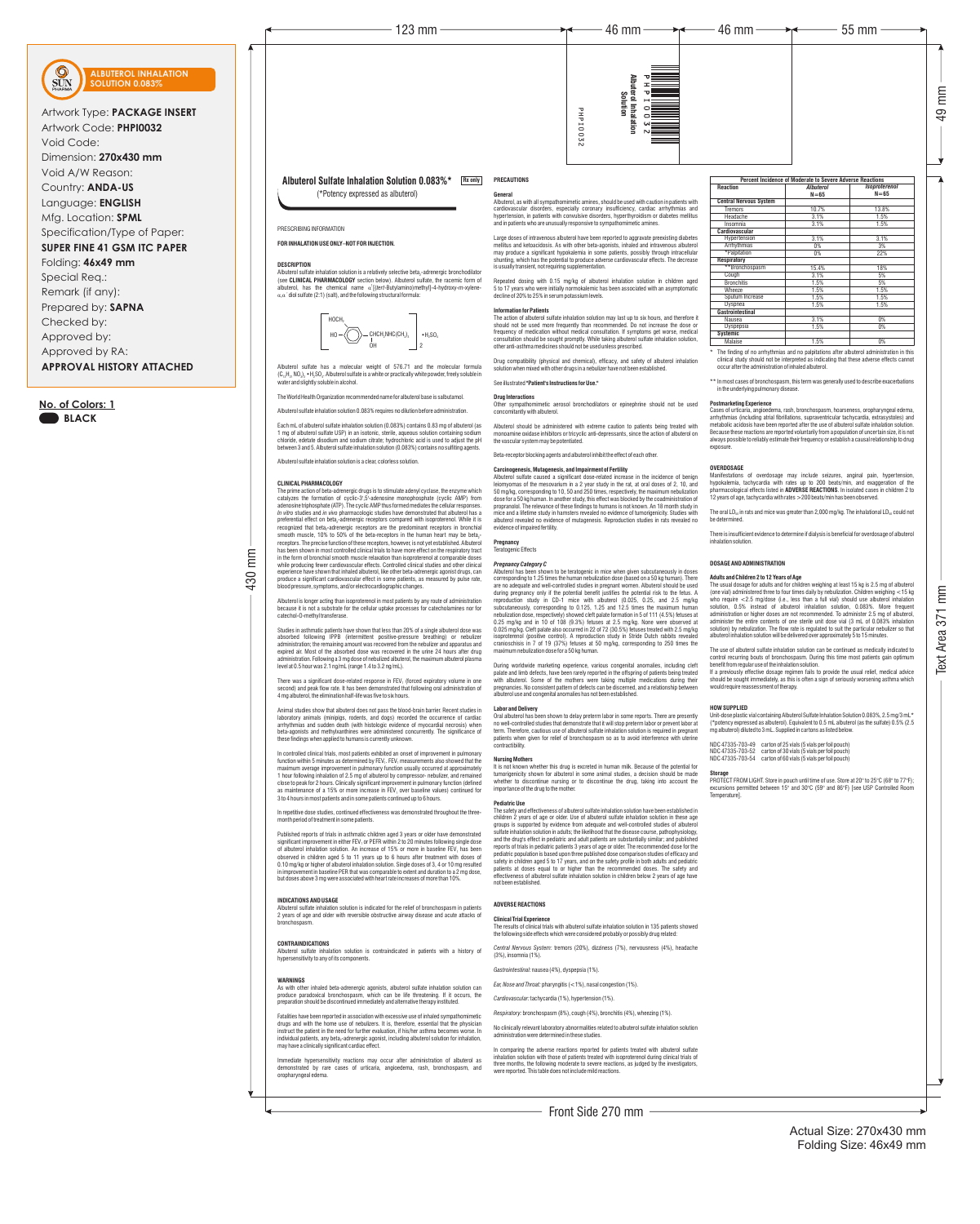430 mm

Front Side 270 mm

Actual Size: 270x430 mm Folding Size: 46x49 mm

# PHPI0032 PHPI0032

49 mm

## **Albuterol Sulfate Inhalation Solution 0.083%\* Rx only**

(\*Potency expressed as albuterol)

#### PRESCRIBING INFORMATION

#### **FOR INHALATION USE ONLY–NOT FOR INJECTION.**

Albuterol sulfate inhalation solution is a relatively selective beta $_2$ -adrenergic bronchodilator (see **CLINICAL PHARMACOLOGY** section below). Albuterol sulfate, the racemic form of albuterol, has the chemical name α'[*(tert-*Butylamino)methyl]-4-hydroxy*-m-*xylene- $\alpha, \alpha'$  diol sulfate (2:1) (salt), and the following structural formula:

Each mL of albuterol sulfate inhalation solution (0.083%) contains 0.83 mg of albuterol (as 1 mg of albuterol sulfate USP) in an isotonic, sterile, aqueous solution containing sodium chloride, edetate disodium and sodium citrate; hydrochloric acid is used to adjust the pH between 3 and 5. Albuterol sulfate inhalation solution (0.083%) contains no sulfiting agents.

Albuterol sulfate has a molecular weight of 576.71 and the molecular formula  $(C_{13}H_{21}NO_3)_2$  • H<sub>2</sub>SO<sub>4</sub>. Albuterol sulfate is a white or practically white powder, freely soluble in water and slightly soluble in alcohol.

The World Health Organization recommended name for albuterol base is salbutamol.

Albuterol sulfate inhalation solution 0.083% requires no dilution before administration.

Albuterol sulfate inhalation solution is a clear, colorless solution.

#### **CLINICAL PHARMACOLOGY**

There was a significant dose-related response in  $FEV<sub>1</sub>$  (forced expiratory volume in one second) and peak flow rate. It has been demonstrated that following oral administration of 4 mg albuterol, the elimination half-life was five to six hours.

In controlled clinical trials, most patients exhibited an onset of improvement in pulmonary function within 5 minutes as determined by FEV<sub>1</sub>. FEV<sub>1</sub> measurements also showed that the maximum average improvement in pulmonary function usually occurred at approximately hour following inhalation of 2.5 mg of albuterol by comp

The prime action of beta-adrenergic drugs is to stimulate adenyl cyclase, the enzyme which catalyzes the formation of cyclic-3'5'-adenosine monophosphate (cyclic AMP) from adenosine triphosphate (ATP). The cyclic AMP thus formed mediates the cellular responses. *In vitro* studies and *in vivo* pharmacologic studies have demonstrated that albuterol has a preferential effect on beta<sub>2</sub>-adrenergic receptors compared with isoproterenol. While it is recognized that beta<sub>2</sub>-adrenergic receptors are the predominant receptors in bronchial smooth muscle, 10% to 50% of the beta-receptors in the human heart may be beta<sub>2</sub>receptors. The precise function of these receptors, however, is not yet established. Albuterol has been shown in most controlled clinical trials to have more effect on the respiratory tract in the form of bronchial smooth muscle relaxation than isoproterenol at comparable doses while producing fewer cardiovascular effects. Controlled clinical studies and other clinical experience have shown that inhaled albuterol, like other beta-adrenergic agonist drugs, can produce a significant cardiovascular effect in some patients, as measured by pulse rate, blood pressure, symptoms, and/or electrocardiographic changes.

Albuterol is longer acting than isoproterenol in most patients by any route of administration because it is not a substrate for the cellular uptake processes for catecholamines nor for catechol-O-methyl transferase.

Fatalities have been reported in association with excessive use of inhaled sympathomimetic drugs and with the home use of nebulizers. It is, therefore, essential that the physician instruct the patient in the need for further evaluation, if his/her asthma becomes worse. In individual patients, any beta<sub>z</sub>-adrenergic agonist, including albuterol solution for inhalation,

Studies in asthmatic patients have shown that less than 20% of a single albuterol dose was absorbed following IPPB (intermittent positive-pressure breathing) or nebulizer administration; the remaining amount was recovered from the nebulizer and apparatus and expired air. Most of the absorbed dose was recovered in the urine 24 hours after drug administration. Following a 3 mg dose of nebulized albuterol, the maximum albuterol plasma level at 0.5 hour was 2.1 ng/mL (range 1.4 to 3.2 ng/mL).

Animal studies show that albuterol does not pass the blood-brain barrier. Recent studies in laboratory animals (minipigs, rodents, and dogs) recorded the occurrence of cardiac arrhythmias and sudden death (with histologic evidence of myocardial necrosis) when beta-agonists and methylxanthines were administered concurrently. The significance of these findings when applied to humans is currently unknown.

| close to peak for 2 hours. Clinically significant improvement in pulmonary function (defined<br>as maintenance of a 15% or more increase in FEV, over baseline values) continued for | whether<br>importan |
|--------------------------------------------------------------------------------------------------------------------------------------------------------------------------------------|---------------------|
| 3 to 4 hours in most patients and in some patients continued up to 6 hours.                                                                                                          | <b>Deadle Auto</b>  |

In repetitive dose studies, continued effectiveness was demonstrated throughout the threemonth period of treatment in some patients.

Published reports of trials in asthmatic children aged 3 years or older have demonstrated significant improvement in either FEV, or PEFR within 2 to 20 minutes following single dose of albuterol inhalation solution. An increase of 15% or more in baseline FEV, has been observed in children aged 5 to 11 years up to 6 hours after treatment with doses of 0.10 mg/kg or higher of albuterol inhalation solution. Single doses of 3, 4 or 10 mg resulted in improvement in baseline PER that was comparable to extent and duration to a 2 mg dose, but doses above 3 mg were associated with heart rate increases of more than 10%.

**INDICATIONS AND USAGE**

Albuterol sulfate inhalation solution is indicated for the relief of bronchospasm in patients 2 years of age and older with reversible obstructive airway disease and acute attacks of

bronchospasm.

**CONTRAINDICATIONS**

It is not known whether this drug is excreted in human milk. Because of the potential for tumorigenicity shown for albuterol in some animal studies, a decision should be made

hypersensitivity to any of its components.

**WARNINGS**

As with other inhaled beta-adrenergic agonists, albuterol sulfate inhalation solution can produce paradoxical bronchospasm, which can be life threatening. If it occurs, the preparation should be discontinued immediately and alternative therapy instituted.

may have a clinically significant cardiac effect.

to discontinue nursing or to discontinue the drug, taking into account the nce of the drug to the mother.

Immediate hypersensitivity reactions may occur after administration of albuterol as demonstrated by rare cases of urticaria, angioedema, rash, bronchospasm, and

oropharyngeal edema.

### **PRECAUTIONS General**

Albuterol, as with all sympathomimetic amines, should be used with caution in patients with cardiovascular disorders, especially coronary insufficiency, cardiac arrhythmias and hypertension, in patients with convulsive disorders, hyperthyroidism or diabetes mellitus and in patients who are unusually responsive to sympathomimetic amines.

123 mm  $\longrightarrow$  46 mm  $\longrightarrow$  46 mm  $\longrightarrow$  46 mm  $\longrightarrow$  46 mm  $\longrightarrow$  55 mm

The finding of no arrhythmias and no palpitations after albuterol administration in this clinical study should not be interpreted as indicating that these adverse effects cannot occur after the administration of inhaled albuterol.

Large doses of intravenous albuterol have been reported to aggravate preexisting diabetes mellitus and ketoacidosis. As with other beta-agonists, inhaled and intravenous albuterol may produce a significant hypokalemia in some patients, possibly through intracellular shunting, which has the potential to produce adverse cardiovascular effects. The decrease is usually transient, not requiring supplementation.

> The oral LD $_{\rm so}$  in rats and mice was greater than 2,000 mg/kg. The inhalational LD $_{\rm so}$  could not be determined.

Repeated dosing with 0.15 mg/kg of albuterol inhalation solution in children aged 5 to 17 years who were initially normokalemic has been associated with an asymptomatic decline of 20% to 25% in serum potassium levels.

#### **Information for Patients**

The action of albuterol sulfate inhalation solution may last up to six hours, and therefore it should not be used more frequently than recommended. Do not increase the dose or frequency of medication without medical consultation. If symptoms get worse, medical consultation should be sought promptly. While taking albuterol sulfate inhalation solution, other anti-asthma medicines should not be used unless prescribed.

Drug compatibility (physical and chemical), efficacy, and safety of albuterol inhalation solution when mixed with other drugs in a nebulizer have not been established.

See illustrated **"Patient's Instructions for Use."**

#### **Drug Interactions**

Other sympathomimetic aerosol bronchodilators or epinephrine should not be used concomitantly with albuterol.

| HOCH <sub>2</sub> |                        |                                             |
|-------------------|------------------------|---------------------------------------------|
| H <sub>0</sub>    | $CHCH2NHC(CH3)3$<br>0H | $\cdot$ H <sub>2</sub> SO <sub>4</sub><br>ŋ |

Albuterol should be administered with extreme caution to patients being treated with monoamine oxidase inhibitors or tricyclic anti-depressants, since the action of albuterol on the vascular system may be potentiated.

Beta-receptor blocking agents and albuterol inhibit the effect of each other.

#### **Carcinogenesis, Mutagenesis, and Impairment of Fertility**



Albuterol sulfate caused a significant dose-related increase in the incidence of benign leiomyomas of the mesovarium in a 2 year study in the rat, at oral doses of 2, 10, and 50 mg/kg, corresponding to 10, 50 and 250 times, respectively, the maximum nebulization dose for a 50 kg human. In another study, this effect was blocked by the coadministration of propranolol. The relevance of these findings to humans is not known. An 18 month study in mice and a lifetime study in hamsters revealed no evidence of tumorigenicity. Studies with albuterol revealed no evidence of mutagenesis. Reproduction studies in rats revealed no evidence of impaired fertility.

Albuterol sulfate inhalation solution is contraindicated in patients with a history of The results of clinical trials with albuterol sulfate inhalation solution in 135 patients showed the following side effects which were considered probably or possibly drug related: *Central Nervous System:* tremors (20%), dizziness (7%), nervousness (4%), headache (3%), insomnia (1%). *Gastrointestinal:* nausea (4%), dyspepsia (1%).

#### **Pregnancy** Teratogenic Effects

#### *Pregnancy Category C*

Albuterol has been shown to be teratogenic in mice when given subcutaneously in doses corresponding to 1.25 times the human nebulization dose (based on a 50 kg human). There are no adequate and well-controlled studies in pregnant women. Albuterol should be used during pregnancy only if the potential benefit justifies the potential risk to the fetus. A reproduction study in CD-1 mice with albuterol (0.025, 0.25, and 2.5 mg/kg subcutaneously, corresponding to 0.125, 1.25 and 12.5 times the maximum human nebulization dose, respectively) showed cleft palate formation in 5 of 111 (4.5%) fetuses at 0.25 mg/kg and in 10 of 108 (9.3%) fetuses at 2.5 mg/kg. None were observed at 0.025 mg/kg. Cleft palate also occurred in 22 of 72 (30.5%) fetuses treated with 2.5 mg/kg isoproterenol (positive control). A reproduction study in Stride Dutch rabbits revealed cranioschisis in 7 of 19 (37%) fetuses at 50 mg/kg, corresponding to 250 times the maximum nebulization dose for a 50 kg human.

During worldwide marketing experience, various congenital anomalies, including cleft palate and limb defects, have been rarely reported in the offspring of patients being treated with albuterol. Some of the mothers were taking multiple medications during their pregnancies. No consistent pattern of defects can be discerned, and a relationship between albuterol use and congenital anomalies has not been established.

#### **Labor and Delivery**

Oral albuterol has been shown to delay preterm labor in some reports. There are presently no well-controlled studies that demonstrate that it will stop preterm labor or prevent labor at term. Therefore, cautious use of albuterol sulfate inhalation solution is required in pregnant patients when given for relief of bronchospasm so as to avoid interference with uterine contractibility.

#### **Nursing Mothers**

#### **Pediatric Use**

The safety and effectiveness of albuterol sulfate inhalation solution have been established in children 2 years of age or older. Use of albuterol sulfate inhalation solution in these age groups is supported by evidence from adequate and well-controlled studies of albuterol sulfate inhalation solution in adults; the likelihood that the disease course, pathophysiology, and the drug's effect in pediatric and adult patients are substantially similar; and published reports of trials in pediatric patients 3 years of age or older. The recommended dose for the pediatric population is based upon three published dose comparison studies of efficacy and safety in children aged 5 to 17 years, and on the safety profile in both adults and pediatric patients at doses equal to or higher than the recommended doses. The safety and effectiveness of albuterol sulfate inhalation solution in children below 2 years of age have not been established.

#### **ADVERSE REACTIONS**

#### **Clinical Trial Experience**

*Ear, Nose and Throat:* pharyngitis (<1%), nasal congestion (1%).

*Cardiovascular:* tachycardia (1%), hypertension (1%).

*Respiratory:* bronchospasm (8%), cough (4%), bronchitis (4%), wheezing (1%).

No clinically relevant laboratory abnormalities related to albuterol sulfate inhalation solution administration were determined in these studies.

In comparing the adverse reactions reported for patients treated with albuterol sulfate inhalation solution with those of patients treated with isoproterenol during clinical trials of three months, the following moderate to severe reactions, as judged by the investigators, were reported. This table does not include mild reactions.

\*\* In most cases of bronchospasm, this term was generally used to describe exacerbations in the underlying pulmonary disease.

#### **Postmarketing Experience**

Cases of urticaria, angioedema, rash, bronchospasm, hoarseness, oropharyngeal edema, arrhythmias (including atrial fibrillations, supraventricular tachycardia, extrasystoles) and metabolic acidosis have been reported after the use of albuterol sulfate inhalation solution. Because these reactions are reported voluntarily from a population of uncertain size, it is not always possible to reliably estimate their frequency or establish a causal relationship to drug exposure.

#### **OVERDOSAGE**

Manifestations of overdosage may include seizures, anginal pain, hypertension, hypokalemia, tachycardia with rates up to 200 beats/min, and exaggeration of the pharmacological effects listed in **ADVERSE REACTIONS**. In isolated cases in children 2 to 12 years of age, tachycardia with rates >200 beats/min has been observed.

There is insufficient evidence to determine if dialysis is beneficial for overdosage of albuterol inhalation solution.

#### **DOSAGE AND ADMINISTRATION**

#### **Adults and Children 2 to 12 Years of Age**

The usual dosage for adults and for children weighing at least 15 kg is 2.5 mg of albuterol (one vial) administered three to four times daily by nebulization. Children weighing <15 kg who require <2.5 mg/dose (i.e., less than a full vial) should use albuterol inhalation solution, 0.5% instead of albuterol inhalation solution, 0.083%. More frequent administration or higher doses are not recommended. To administer 2.5 mg of albuterol, administer the entire contents of one sterile unit dose vial (3 mL of 0.083% inhalation solution) by nebulization. The flow rate is regulated to suit the particular nebulizer so that albuterol inhalation solution will be delivered over approximately 5 to 15 minutes.

The use of albuterol sulfate inhalation solution can be continued as medically indicated to control recurring bouts of bronchospasm. During this time most patients gain optimum benefit from regular use of the inhalation solution.

If a previously effective dosage regimen fails to provide the usual relief, medical advice should be sought immediately, as this is often a sign of seriously worsening asthma which would require reassessment of therapy.

#### **HOW SUPPLIED**

Unit-dose plastic vial containing Albuterol Sulfate Inhalation Solution 0.083%, 2.5 mg/3 mL\* (\*potency expressed as albuterol). Equivalent to 0.5 mL albuterol (as the sulfate) 0.5% (2.5 mg albuterol) diluted to 3 mL. Supplied in cartons as listed below.

NDC 47335-703-49 carton of 25 vials (5 vials per foil pouch) NDC 47335-703-52 carton of 30 vials (5 vials per foil pouch) NDC 47335-703-54 carton of 60 vials (5 vials per foil pouch)

#### **Storage**

PROTECT FROM LIGHT. Store in pouch until time of use. Store at 20° to 25°C (68° to 77°F); excursions permitted between 15° and 30°C (59° and 86°F) [see USP Controlled Room Temperature].

**Albuterol Inhalation Solution**

흐

|                               | <b>Percent Incidence of Moderate to Severe Adverse Reactions</b> |                           |
|-------------------------------|------------------------------------------------------------------|---------------------------|
| <b>Reaction</b>               | Albuterol<br>$N = 65$                                            | Isoproterenol<br>$N = 65$ |
| <b>Central Nervous System</b> |                                                                  |                           |
| Tremors                       | 10.7%                                                            | 13.8%                     |
| Headache                      | 3.1%                                                             | 1.5%                      |
| Insomnia                      | 3.1%                                                             | 1.5%                      |
| Cardiovascular                |                                                                  |                           |
| Hypertension                  | 3.1%                                                             | 3.1%                      |
| Arrhythmias                   | 0%                                                               | 3%                        |
| *Palpitation                  | 0%                                                               | 22%                       |
| <b>Respiratory</b>            |                                                                  |                           |
| **Bronchospasm                | 15.4%                                                            | 18%                       |
| Cough                         | 3.1%                                                             | 5%                        |
| <b>Bronchitis</b>             | 1.5%                                                             | 5%                        |
| Wheeze                        | 1.5%                                                             | 1.5%                      |
| Sputum Increase               | 1.5%                                                             | 1.5%                      |
| Dyspnea                       | 1.5%                                                             | 1.5%                      |
| <b>Gastrointestinal</b>       |                                                                  |                           |
| Nausea                        | 3.1%                                                             | 0%                        |
| Dyspepsia                     | 1.5%                                                             | 0%                        |
| <b>Systemic</b>               |                                                                  |                           |
| Malaise                       | 1.5%                                                             | 0%                        |

## $\circledcirc$ **SUN**

#### **ALBUTEROL INHALATION SOLUTION 0.083%**

## **No. of Colors: 1 BLACK**